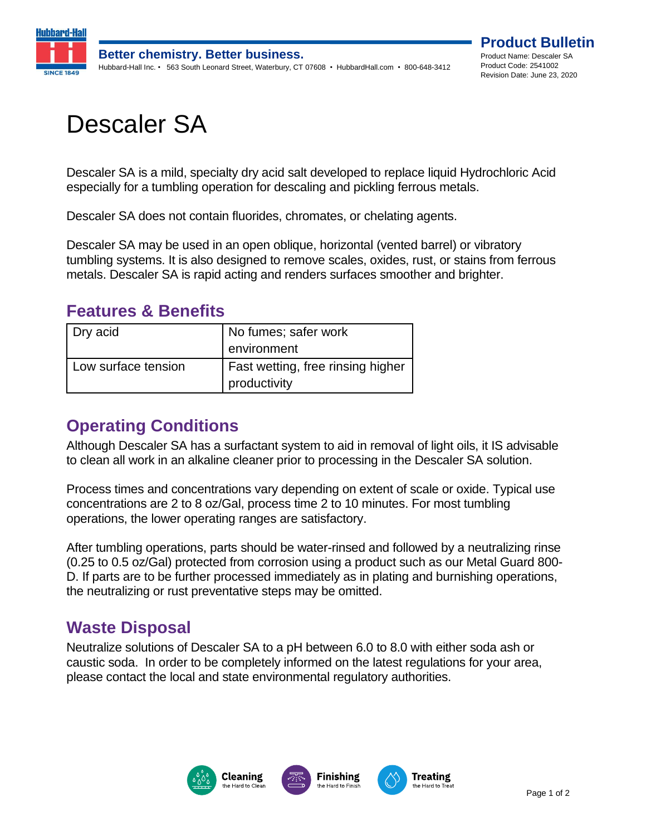

# Descaler SA

Descaler SA is a mild, specialty dry acid salt developed to replace liquid Hydrochloric Acid especially for a tumbling operation for descaling and pickling ferrous metals.

Descaler SA does not contain fluorides, chromates, or chelating agents.

Descaler SA may be used in an open oblique, horizontal (vented barrel) or vibratory tumbling systems. It is also designed to remove scales, oxides, rust, or stains from ferrous metals. Descaler SA is rapid acting and renders surfaces smoother and brighter.

#### **Features & Benefits**

| Dry acid            | No fumes; safer work<br>environment               |
|---------------------|---------------------------------------------------|
| Low surface tension | Fast wetting, free rinsing higher<br>productivity |

#### **Operating Conditions**

Although Descaler SA has a surfactant system to aid in removal of light oils, it IS advisable to clean all work in an alkaline cleaner prior to processing in the Descaler SA solution.

Process times and concentrations vary depending on extent of scale or oxide. Typical use concentrations are 2 to 8 oz/Gal, process time 2 to 10 minutes. For most tumbling operations, the lower operating ranges are satisfactory.

After tumbling operations, parts should be water-rinsed and followed by a neutralizing rinse (0.25 to 0.5 oz/Gal) protected from corrosion using a product such as our Metal Guard 800- D. If parts are to be further processed immediately as in plating and burnishing operations, the neutralizing or rust preventative steps may be omitted.

#### **Waste Disposal**

Neutralize solutions of Descaler SA to a pH between 6.0 to 8.0 with either soda ash or caustic soda. In order to be completely informed on the latest regulations for your area, please contact the local and state environmental regulatory authorities.